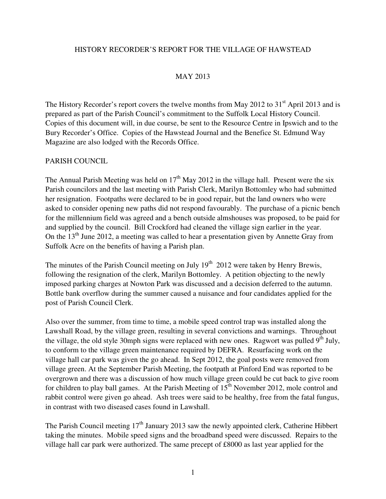#### HISTORY RECORDER'S REPORT FOR THE VILLAGE OF HAWSTEAD

### MAY 2013

The History Recorder's report covers the twelve months from May 2012 to  $31<sup>st</sup>$  April 2013 and is prepared as part of the Parish Council's commitment to the Suffolk Local History Council. Copies of this document will, in due course, be sent to the Resource Centre in Ipswich and to the Bury Recorder's Office. Copies of the Hawstead Journal and the Benefice St. Edmund Way Magazine are also lodged with the Records Office.

#### PARISH COUNCIL

The Annual Parish Meeting was held on  $17<sup>th</sup>$  May 2012 in the village hall. Present were the six Parish councilors and the last meeting with Parish Clerk, Marilyn Bottomley who had submitted her resignation. Footpaths were declared to be in good repair, but the land owners who were asked to consider opening new paths did not respond favourably. The purchase of a picnic bench for the millennium field was agreed and a bench outside almshouses was proposed, to be paid for and supplied by the council. Bill Crockford had cleaned the village sign earlier in the year. On the  $13<sup>th</sup>$  June 2012, a meeting was called to hear a presentation given by Annette Gray from Suffolk Acre on the benefits of having a Parish plan.

The minutes of the Parish Council meeting on July  $19<sup>th</sup>$  2012 were taken by Henry Brewis, following the resignation of the clerk, Marilyn Bottomley. A petition objecting to the newly imposed parking charges at Nowton Park was discussed and a decision deferred to the autumn. Bottle bank overflow during the summer caused a nuisance and four candidates applied for the post of Parish Council Clerk.

Also over the summer, from time to time, a mobile speed control trap was installed along the Lawshall Road, by the village green, resulting in several convictions and warnings. Throughout the village, the old style 30mph signs were replaced with new ones. Ragwort was pulled  $9<sup>th</sup>$  July, to conform to the village green maintenance required by DEFRA. Resurfacing work on the village hall car park was given the go ahead. In Sept 2012, the goal posts were removed from village green. At the September Parish Meeting, the footpath at Pinford End was reported to be overgrown and there was a discussion of how much village green could be cut back to give room for children to play ball games. At the Parish Meeting of  $15<sup>th</sup>$  November 2012, mole control and rabbit control were given go ahead. Ash trees were said to be healthy, free from the fatal fungus, in contrast with two diseased cases found in Lawshall.

The Parish Council meeting  $17<sup>th</sup>$  January 2013 saw the newly appointed clerk, Catherine Hibbert taking the minutes. Mobile speed signs and the broadband speed were discussed. Repairs to the village hall car park were authorized. The same precept of £8000 as last year applied for the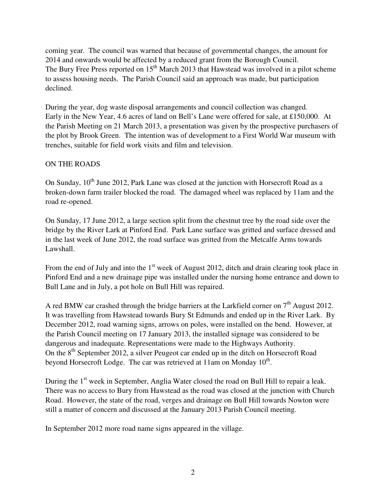coming year. The council was warned that because of governmental changes, the amount for 2014 and onwards would be affected by a reduced grant from the Borough Council. The Bury Free Press reported on  $15<sup>th</sup>$  March 2013 that Hawstead was involved in a pilot scheme to assess housing needs. The Parish Council said an approach was made, but participation declined.

During the year, dog waste disposal arrangements and council collection was changed. Early in the New Year, 4.6 acres of land on Bell's Lane were offered for sale, at £150,000. At the Parish Meeting on 21 March 2013, a presentation was given by the prospective purchasers of the plot by Brook Green. The intention was of development to a First World War museum with trenches, suitable for field work visits and film and television.

#### ON THE ROADS

On Sunday,  $10^{th}$  June 2012, Park Lane was closed at the junction with Horsecroft Road as a broken-down farm trailer blocked the road. The damaged wheel was replaced by 11am and the road re-opened.

On Sunday, 17 June 2012, a large section split from the chestnut tree by the road side over the bridge by the River Lark at Pinford End. Park Lane surface was gritted and surface dressed and in the last week of June 2012, the road surface was gritted from the Metcalfe Arms towards Lawshall.

From the end of July and into the  $1<sup>st</sup>$  week of August 2012, ditch and drain clearing took place in Pinford End and a new drainage pipe was installed under the nursing home entrance and down to Bull Lane and in July, a pot hole on Bull Hill was repaired.

A red BMW car crashed through the bridge barriers at the Larkfield corner on  $7<sup>th</sup>$  August 2012. It was travelling from Hawstead towards Bury St Edmunds and ended up in the River Lark. By December 2012, road warning signs, arrows on poles, were installed on the bend. However, at the Parish Council meeting on 17 January 2013, the installed signage was considered to be dangerous and inadequate. Representations were made to the Highways Authority. On the 8<sup>th</sup> September 2012, a silver Peugeot car ended up in the ditch on Horsecroft Road beyond Horsecroft Lodge. The car was retrieved at 11am on Monday  $10^{th}$ .

During the 1<sup>st</sup> week in September, Anglia Water closed the road on Bull Hill to repair a leak. There was no access to Bury from Hawstead as the road was closed at the junction with Church Road. However, the state of the road, verges and drainage on Bull Hill towards Nowton were still a matter of concern and discussed at the January 2013 Parish Council meeting.

In September 2012 more road name signs appeared in the village.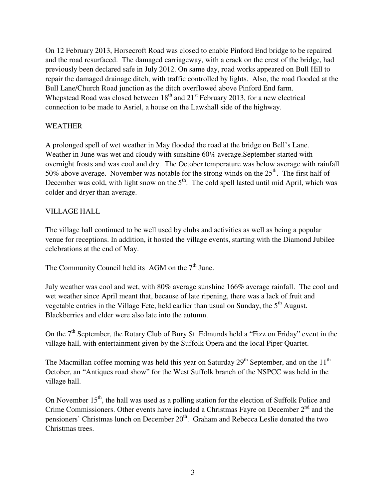On 12 February 2013, Horsecroft Road was closed to enable Pinford End bridge to be repaired and the road resurfaced. The damaged carriageway, with a crack on the crest of the bridge, had previously been declared safe in July 2012. On same day, road works appeared on Bull Hill to repair the damaged drainage ditch, with traffic controlled by lights. Also, the road flooded at the Bull Lane/Church Road junction as the ditch overflowed above Pinford End farm. Whepstead Road was closed between  $18<sup>th</sup>$  and  $21<sup>st</sup>$  February 2013, for a new electrical connection to be made to Asriel, a house on the Lawshall side of the highway.

# WEATHER

A prolonged spell of wet weather in May flooded the road at the bridge on Bell's Lane. Weather in June was wet and cloudy with sunshine 60% average.September started with overnight frosts and was cool and dry. The October temperature was below average with rainfall 50% above average. November was notable for the strong winds on the  $25<sup>th</sup>$ . The first half of December was cold, with light snow on the  $5<sup>th</sup>$ . The cold spell lasted until mid April, which was colder and dryer than average.

# VILLAGE HALL

The village hall continued to be well used by clubs and activities as well as being a popular venue for receptions. In addition, it hosted the village events, starting with the Diamond Jubilee celebrations at the end of May.

The Community Council held its AGM on the  $7<sup>th</sup>$  June.

July weather was cool and wet, with 80% average sunshine 166% average rainfall. The cool and wet weather since April meant that, because of late ripening, there was a lack of fruit and vegetable entries in the Village Fete, held earlier than usual on Sunday, the  $5<sup>th</sup>$  August. Blackberries and elder were also late into the autumn.

On the  $7<sup>th</sup>$  September, the Rotary Club of Bury St. Edmunds held a "Fizz on Friday" event in the village hall, with entertainment given by the Suffolk Opera and the local Piper Quartet.

The Macmillan coffee morning was held this year on Saturday  $29<sup>th</sup>$  September, and on the  $11<sup>th</sup>$ October, an "Antiques road show" for the West Suffolk branch of the NSPCC was held in the village hall.

On November  $15<sup>th</sup>$ , the hall was used as a polling station for the election of Suffolk Police and Crime Commissioners. Other events have included a Christmas Fayre on December  $2<sup>nd</sup>$  and the pensioners' Christmas lunch on December  $20<sup>th</sup>$ . Graham and Rebecca Leslie donated the two Christmas trees.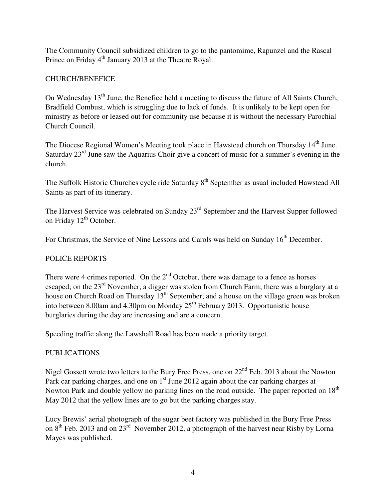The Community Council subsidized children to go to the pantomime, Rapunzel and the Rascal Prince on Friday 4<sup>th</sup> January 2013 at the Theatre Royal.

# CHURCH/BENEFICE

On Wednesday  $13<sup>th</sup>$  June, the Benefice held a meeting to discuss the future of All Saints Church, Bradfield Combust, which is struggling due to lack of funds. It is unlikely to be kept open for ministry as before or leased out for community use because it is without the necessary Parochial Church Council.

The Diocese Regional Women's Meeting took place in Hawstead church on Thursday 14<sup>th</sup> June. Saturday  $23<sup>rd</sup>$  June saw the Aquarius Choir give a concert of music for a summer's evening in the church.

The Suffolk Historic Churches cycle ride Saturday 8<sup>th</sup> September as usual included Hawstead All Saints as part of its itinerary.

The Harvest Service was celebrated on Sunday 23<sup>rd</sup> September and the Harvest Supper followed on Friday 12<sup>th</sup> October.

For Christmas, the Service of Nine Lessons and Carols was held on Sunday  $16<sup>th</sup>$  December.

# POLICE REPORTS

There were 4 crimes reported. On the  $2<sup>nd</sup>$  October, there was damage to a fence as horses escaped; on the 23<sup>rd</sup> November, a digger was stolen from Church Farm; there was a burglary at a house on Church Road on Thursday 13<sup>th</sup> September; and a house on the village green was broken into between 8.00am and 4.30pm on Monday  $25<sup>th</sup>$  February 2013. Opportunistic house burglaries during the day are increasing and are a concern.

Speeding traffic along the Lawshall Road has been made a priority target.

### PUBLICATIONS

Nigel Gossett wrote two letters to the Bury Free Press, one on  $22<sup>nd</sup>$  Feb. 2013 about the Nowton Park car parking charges, and one on  $1<sup>st</sup>$  June 2012 again about the car parking charges at Nowton Park and double yellow no parking lines on the road outside. The paper reported on  $18<sup>th</sup>$ May 2012 that the yellow lines are to go but the parking charges stay.

Lucy Brewis' aerial photograph of the sugar beet factory was published in the Bury Free Press on 8<sup>th</sup> Feb. 2013 and on 23<sup>rd</sup> November 2012, a photograph of the harvest near Risby by Lorna Mayes was published.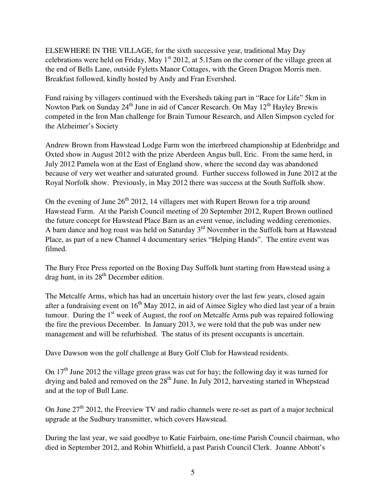ELSEWHERE IN THE VILLAGE, for the sixth successive year, traditional May Day celebrations were held on Friday, May  $1<sup>st</sup> 2012$ , at 5.15am on the corner of the village green at the end of Bells Lane, outside Fyletts Manor Cottages, with the Green Dragon Morris men. Breakfast followed, kindly hosted by Andy and Fran Evershed.

Fund raising by villagers continued with the Eversheds taking part in "Race for Life" 5km in Nowton Park on Sunday  $24<sup>th</sup>$  June in aid of Cancer Research. On May  $12<sup>th</sup>$  Hayley Brewis competed in the Iron Man challenge for Brain Tumour Research, and Allen Simpson cycled for the Alzheimer's Society

Andrew Brown from Hawstead Lodge Farm won the interbreed championship at Edenbridge and Oxted show in August 2012 with the prize Aberdeen Angus bull, Eric. From the same herd, in July 2012 Pamela won at the East of England show, where the second day was abandoned because of very wet weather and saturated ground. Further success followed in June 2012 at the Royal Norfolk show. Previously, in May 2012 there was success at the South Suffolk show.

On the evening of June  $26<sup>th</sup> 2012$ , 14 villagers met with Rupert Brown for a trip around Hawstead Farm. At the Parish Council meeting of 20 September 2012, Rupert Brown outlined the future concept for Hawstead Place Barn as an event venue, including wedding ceremonies. A barn dance and hog roast was held on Saturday 3<sup>rd</sup> November in the Suffolk barn at Hawstead Place, as part of a new Channel 4 documentary series "Helping Hands". The entire event was filmed.

The Bury Free Press reported on the Boxing Day Suffolk hunt starting from Hawstead using a drag hunt, in its  $28<sup>th</sup>$  December edition.

The Metcalfe Arms, which has had an uncertain history over the last few years, closed again after a fundraising event on  $16<sup>th</sup>$  May 2012, in aid of Aimee Sigley who died last year of a brain tumour. During the  $1<sup>st</sup>$  week of August, the roof on Metcalfe Arms pub was repaired following the fire the previous December. In January 2013, we were told that the pub was under new management and will be refurbished. The status of its present occupants is uncertain.

Dave Dawson won the golf challenge at Bury Golf Club for Hawstead residents.

On 17<sup>th</sup> June 2012 the village green grass was cut for hay; the following day it was turned for drying and baled and removed on the  $28<sup>th</sup>$  June. In July 2012, harvesting started in Whepstead and at the top of Bull Lane.

On June  $27<sup>th</sup>$  2012, the Freeview TV and radio channels were re-set as part of a major technical upgrade at the Sudbury transmitter, which covers Hawstead.

During the last year, we said goodbye to Katie Fairbairn, one-time Parish Council chairman, who died in September 2012, and Robin Whitfield, a past Parish Council Clerk. Joanne Abbott's